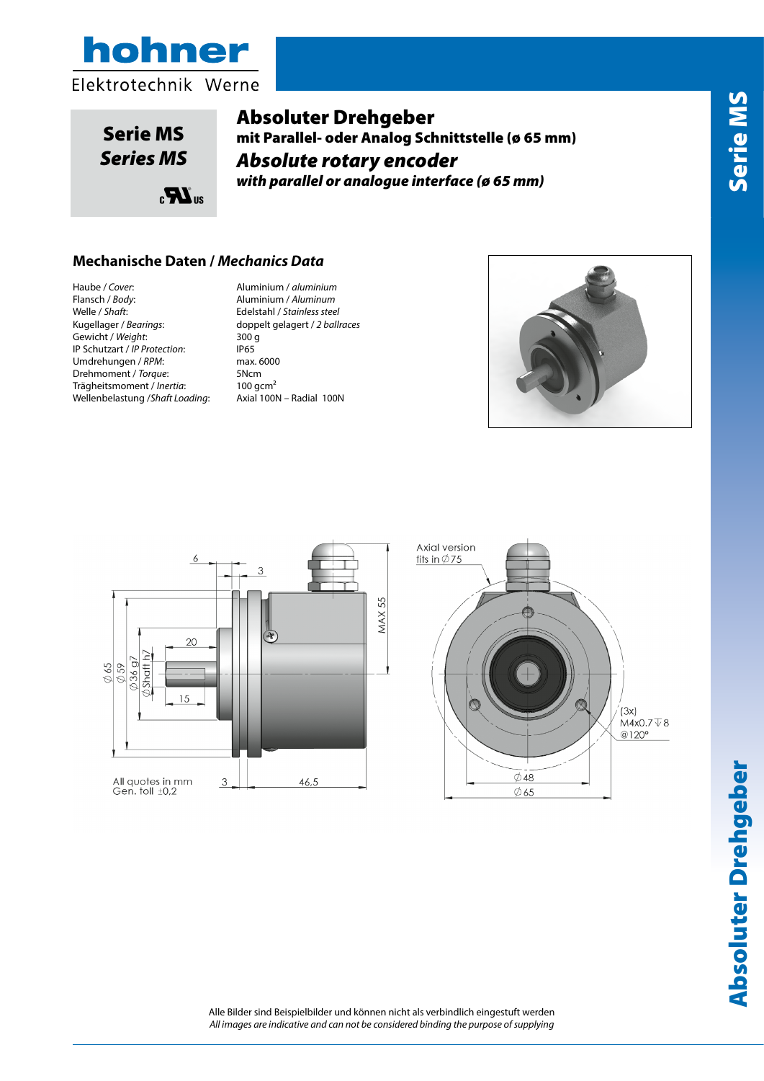



# Serie MS *Series MS*

Absoluter Drehgeber mit Parallel- oder Analog Schnittstelle (ø 65 mm) *Absolute rotary encoder with parallel or analogue interface (ø 65 mm)*

# **Mechanische Daten /** *Mechanics Data*

 $\mathbf{Z}$ 

Haube / *Cover*: Aluminium / *aluminium* Welle / *Shaft*: Edelstahl / *Stainless steel* Gewicht / *Weight*: 300 g IP Schutzart / *IP Protection*: IP65 Umdrehungen / RPM: Drehmoment / *Torque*: 5Ncm Trägheitsmoment / *Inertia*: 100 gcm<sup>2</sup><br>Wellenbelastung / Shaft Loading: Axial 100N – Radial 100N Wellenbelastung / Shaft Loading:

Flansch / *Body*: Aluminium / *Aluminum* Kugellager / *Bearings*: doppelt gelagert / *2 ballraces*







Alle Bilder sind Beispielbilder und können nicht als verbindlich eingestuft werden *All images are indicative and can not be considered binding the purpose of supplying*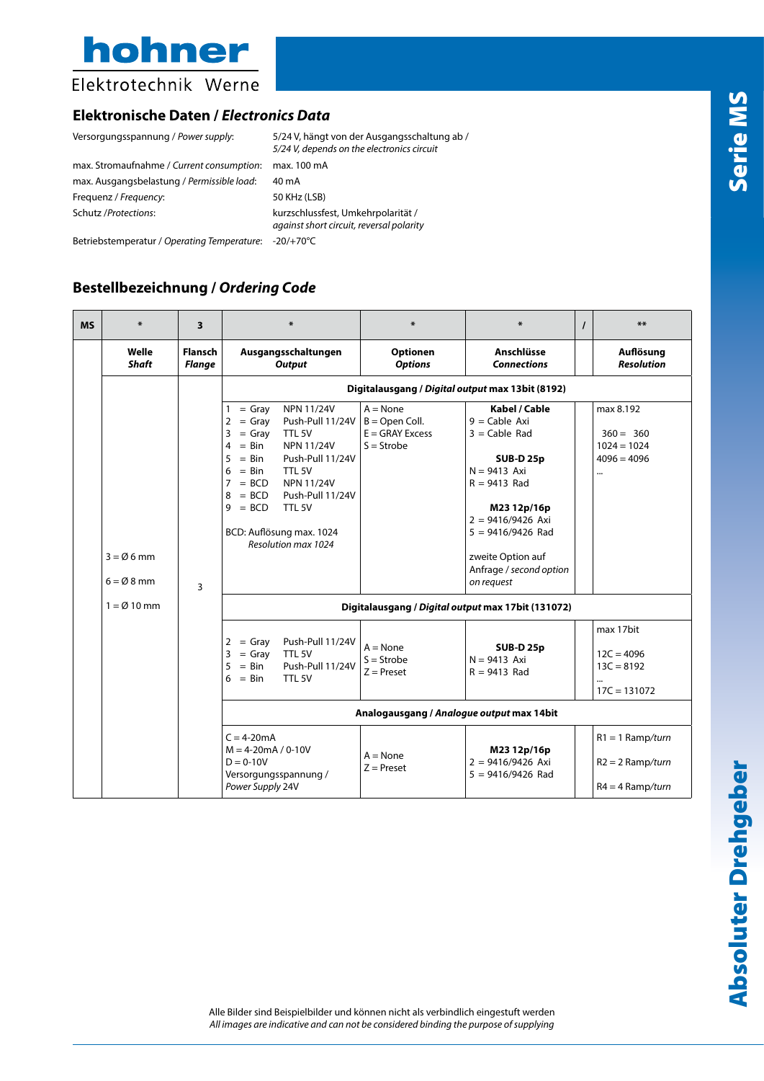hohner

Elektrotechnik Werne

## **Elektronische Daten /** *Electronics Data*

Versorgungsspannung / *Power supply*: 5/24 V, hängt von der Ausgangsschaltung ab / *5/24 V, depends on the electronics circuit* max. Stromaufnahme / *Current consumption*: max. 100 mA max. Ausgangsbelastung / *Permissible load*: 40 mA Frequenz / *Frequency*: 50 KHz (LSB) Schutz /*Protections*: kurzschlussfest, Umkehrpolarität / *against short circuit, reversal polarity* Betriebstemperatur / *Operating Temperature*: -20/+70°C

#### **Bestellbezeichnung /** *Ordering Code*

| <b>MS</b> | $\ast$                                                                | $\overline{\mathbf{3}}$         | $\ast$                                                                                                                                                                                                                                                                                                                                                                                | $\ast$                                                              | $\ast$                                                                                                                                                                                                                                 |  | $**$                                                           |  |  |  |  |  |  |  |
|-----------|-----------------------------------------------------------------------|---------------------------------|---------------------------------------------------------------------------------------------------------------------------------------------------------------------------------------------------------------------------------------------------------------------------------------------------------------------------------------------------------------------------------------|---------------------------------------------------------------------|----------------------------------------------------------------------------------------------------------------------------------------------------------------------------------------------------------------------------------------|--|----------------------------------------------------------------|--|--|--|--|--|--|--|
|           | Welle<br><b>Shaft</b>                                                 | <b>Flansch</b><br><b>Flange</b> | Ausgangsschaltungen<br><b>Output</b>                                                                                                                                                                                                                                                                                                                                                  | <b>Optionen</b><br><b>Options</b>                                   | Anschlüsse<br><b>Connections</b>                                                                                                                                                                                                       |  | Auflösung<br><b>Resolution</b>                                 |  |  |  |  |  |  |  |
|           |                                                                       | 3                               | Digitalausgang / Digital output max 13bit (8192)                                                                                                                                                                                                                                                                                                                                      |                                                                     |                                                                                                                                                                                                                                        |  |                                                                |  |  |  |  |  |  |  |
|           | $3 = \emptyset$ 6 mm<br>$6 = \emptyset$ 8 mm<br>$1 = \emptyset$ 10 mm |                                 | <b>NPN 11/24V</b><br>$=$ Gray<br>$\mathbf{1}$<br>2<br>$=$ Gray<br>Push-Pull 11/24V<br>$=$ Grav<br>TTL 5V<br>3<br>$=$ Bin<br><b>NPN 11/24V</b><br>4<br>$=$ Bin<br>5<br>Push-Pull 11/24V<br>$=$ Bin<br>TTL 5V<br>6<br>$= BCD$<br>7<br><b>NPN 11/24V</b><br>$= BCD$<br>Push-Pull 11/24V<br>8<br>$9 = BCD$<br>TTL <sub>5V</sub><br>BCD: Auflösung max. 1024<br><b>Resolution max 1024</b> | $A = None$<br>$B =$ Open Coll.<br>$E = GRAY$ Excess<br>$S =$ Strobe | Kabel / Cable<br>$9 =$ Cable Axi<br>$3 =$ Cable Rad<br><b>SUB-D 25p</b><br>$N = 9413$ Axi<br>$R = 9413$ Rad<br>M23 12p/16p<br>$2 = 9416/9426$ Axi<br>$5 = 9416/9426$ Rad<br>zweite Option auf<br>Anfrage / second option<br>on request |  | max 8.192<br>$360 = 360$<br>$1024 = 1024$<br>$4096 = 4096$<br> |  |  |  |  |  |  |  |
|           |                                                                       |                                 | Digitalausgang / Digital output max 17bit (131072)                                                                                                                                                                                                                                                                                                                                    |                                                                     |                                                                                                                                                                                                                                        |  |                                                                |  |  |  |  |  |  |  |
|           |                                                                       |                                 | Push-Pull 11/24V<br>$=$ Gray<br>$\overline{2}$<br>$=$ Gray<br>3<br>TTL <sub>5V</sub><br>$=$ Bin<br>Push-Pull 11/24V<br>5<br>$=$ Bin<br>TTL <sub>5V</sub><br>6                                                                                                                                                                                                                         | $A = None$<br>$S =$ Strobe<br>$Z =$ Preset                          | <b>SUB-D 25p</b><br>$N = 9413$ Axi<br>$R = 9413$ Rad                                                                                                                                                                                   |  | max 17bit<br>$12C = 4096$<br>$13C = 8192$<br>$17C = 131072$    |  |  |  |  |  |  |  |
|           |                                                                       |                                 | Analogausgang / Analogue output max 14bit                                                                                                                                                                                                                                                                                                                                             |                                                                     |                                                                                                                                                                                                                                        |  |                                                                |  |  |  |  |  |  |  |
|           |                                                                       |                                 | $C = 4-20mA$<br>$M = 4 - 20mA / 0 - 10V$<br>$D = 0-10V$<br>Versorgungsspannung /<br>Power Supply 24V                                                                                                                                                                                                                                                                                  | $A = None$<br>$Z =$ Preset                                          | M23 12p/16p<br>$2 = 9416/9426$ Axi<br>$5 = 9416/9426$ Rad                                                                                                                                                                              |  | $R1 = 1$ Ramp/turn<br>$R2 = 2$ Ramp/turn<br>$R4 = 4$ Ramp/turn |  |  |  |  |  |  |  |

Alle Bilder sind Beispielbilder und können nicht als verbindlich eingestuft werden *All images are indicative and can not be considered binding the purpose of supplying*